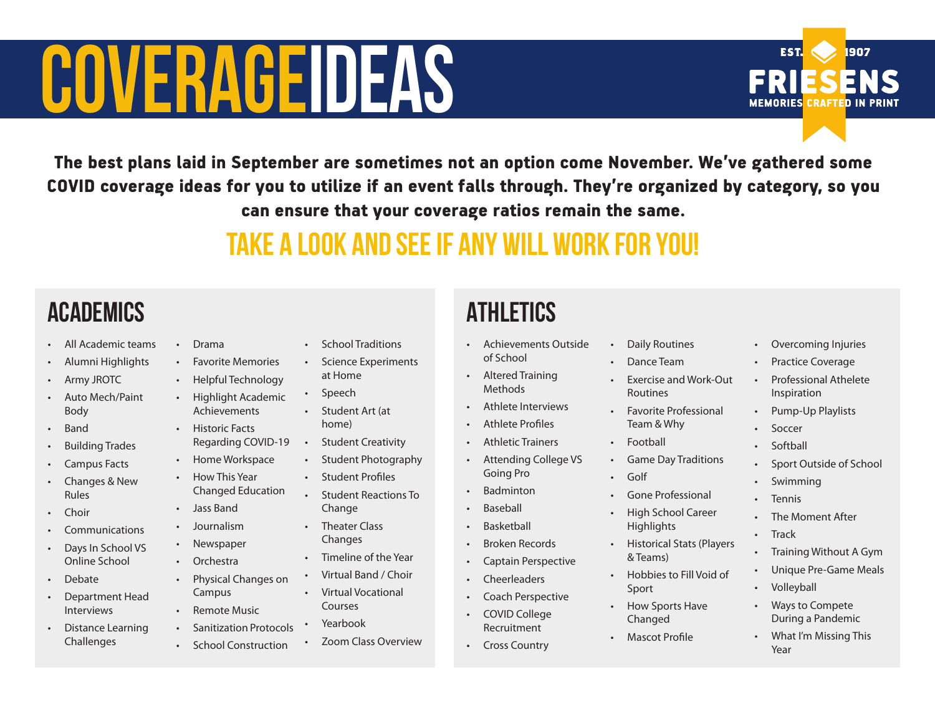# **COVERAGEIDEAS**

The best plans laid in September are sometimes not an option come November. We've gathered some COVID coverage ideas for you to utilize if an event falls through. They're organized by category, so you can ensure that your coverage ratios remain the same.

## Take a look and see if any will work for you!

### **ACADEMICS**

- All Academic teams
- Alumni Highlights
- Army JROTC
- Auto Mech/Paint Body
- **Band**
- Building Trades
- Campus Facts
- Changes & New Rules
- Choir
- **Communications**
- Days In School VS Online School
- Debate
- Department Head Interviews
- Distance Learning Challenges
- Drama • Favorite Memories • Helpful Technology • Highlight Academic Achievements • Historic Facts Regarding COVID-19 • Home Workspace • How This Year Changed Education • Jass Band • Journalism
- **Newspaper**
- Orchestra
- Physical Changes on Campus
- Remote Music
- Sanitization Protocols
- School Construction
- School Traditions
- Science Experiments at Home
- Speech
- Student Art (at home)
- Student Creativity
- Student Photography
	- Student Profiles
	- Student Reactions To Change
		- Theater Class
		- Changes • Timeline of the Year
		- Virtual Band / Choir
		- Virtual Vocational Courses
- 
- Zoom Class Overview

#### **ATHLETICS**

- Achievements Outside of School
- Altered Training Methods
- Athlete Interviews
- Athlete Profiles
- Athletic Trainers
- Attending College VS Going Pro
- **Badminton** 
	- **Baseball**
- **Basketball**
- Broken Records

• Coach Perspective

Recruitment • Cross Country

- Captain Perspective
	- Cheerleaders
- COVID College
- Yearbook
- 
- Daily Routines
- Dance Team
- Exercise and Work-Out Routines
- Favorite Professional Team & Why
- Football
- Game Day Traditions
- Golf
- Gone Professional
- High School Career **Highlights**
- Historical Stats (Players & Teams)
- Hobbies to Fill Void of Sport
- How Sports Have Changed
- **Mascot Profile**

• Overcoming Injuries

1907

**EST.** 

**MEMORIES** 

- Practice Coverage
- Professional Athelete Inspiration
- Pump-Up Playlists
- Soccer
- **Softball**
- Sport Outside of School
- Swimming
- Tennis
- The Moment After
- Track
- Training Without A Gym
- Unique Pre-Game Meals
- Volleyball
- Ways to Compete During a Pandemic
- What I'm Missing This Year